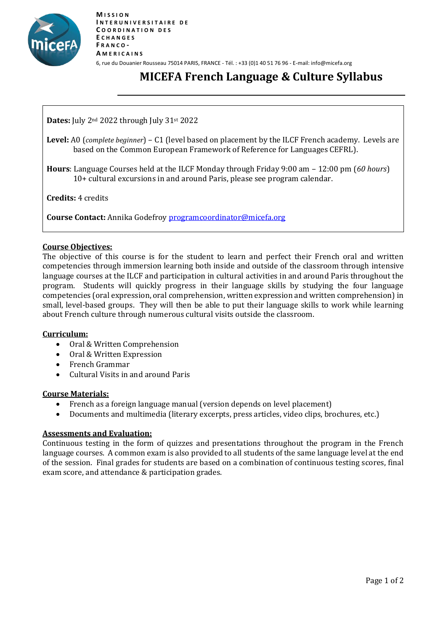

# **MICEFA French Language & Culture Syllabus**

**Dates:** July 2nd 2022 through July 31st 2022

**Level:** A0 (*complete beginner*) – C1 (level based on placement by the ILCF French academy. Levels are based on the Common European Framework of Reference for Languages CEFRL).

**Hours**: Language Courses held at the ILCF Monday through Friday 9:00 am – 12:00 pm (*60 hours*) 10+ cultural excursions in and around Paris, please see program calendar.

**Credits:** 4 credits

**Course Contact:** Annika Godefroy [programcoordinator@micefa.org](mailto:programcoordinator@micefa.org)

#### **Course Objectives:**

The objective of this course is for the student to learn and perfect their French oral and written competencies through immersion learning both inside and outside of the classroom through intensive language courses at the ILCF and participation in cultural activities in and around Paris throughout the program. Students will quickly progress in their language skills by studying the four language competencies (oral expression, oral comprehension, written expression and written comprehension) in small, level-based groups. They will then be able to put their language skills to work while learning about French culture through numerous cultural visits outside the classroom.

#### **Curriculum:**

- Oral & Written Comprehension
- Oral & Written Expression
- French Grammar
- Cultural Visits in and around Paris

## **Course Materials:**

- French as a foreign language manual (version depends on level placement)
- Documents and multimedia (literary excerpts, press articles, video clips, brochures, etc.)

## **Assessments and Evaluation:**

Continuous testing in the form of quizzes and presentations throughout the program in the French language courses. A common exam is also provided to all students of the same language level at the end of the session. Final grades for students are based on a combination of continuous testing scores, final exam score, and attendance & participation grades.